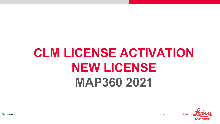# **CLM LICENSE ACTIVATION NEW LICENSE MAP360 2021**



- when it has to be right

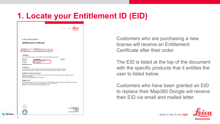## **1. Locate your Entitlement ID (EID)**

|                               | - when it has to be right                                                                                                                                                                                                                         |                                                                                                                                                                                                                                                                                                                                                                                                                                                                                                                                                                                     |
|-------------------------------|---------------------------------------------------------------------------------------------------------------------------------------------------------------------------------------------------------------------------------------------------|-------------------------------------------------------------------------------------------------------------------------------------------------------------------------------------------------------------------------------------------------------------------------------------------------------------------------------------------------------------------------------------------------------------------------------------------------------------------------------------------------------------------------------------------------------------------------------------|
|                               |                                                                                                                                                                                                                                                   |                                                                                                                                                                                                                                                                                                                                                                                                                                                                                                                                                                                     |
|                               |                                                                                                                                                                                                                                                   |                                                                                                                                                                                                                                                                                                                                                                                                                                                                                                                                                                                     |
| MADORD Bas                    |                                                                                                                                                                                                                                                   |                                                                                                                                                                                                                                                                                                                                                                                                                                                                                                                                                                                     |
| 00107-79315-00032-11191-15852 |                                                                                                                                                                                                                                                   |                                                                                                                                                                                                                                                                                                                                                                                                                                                                                                                                                                                     |
| <b>Description</b>            | <b>Quantity</b>                                                                                                                                                                                                                                   |                                                                                                                                                                                                                                                                                                                                                                                                                                                                                                                                                                                     |
| MAP360 Base                   | ł                                                                                                                                                                                                                                                 |                                                                                                                                                                                                                                                                                                                                                                                                                                                                                                                                                                                     |
|                               |                                                                                                                                                                                                                                                   |                                                                                                                                                                                                                                                                                                                                                                                                                                                                                                                                                                                     |
|                               |                                                                                                                                                                                                                                                   |                                                                                                                                                                                                                                                                                                                                                                                                                                                                                                                                                                                     |
|                               |                                                                                                                                                                                                                                                   |                                                                                                                                                                                                                                                                                                                                                                                                                                                                                                                                                                                     |
|                               |                                                                                                                                                                                                                                                   |                                                                                                                                                                                                                                                                                                                                                                                                                                                                                                                                                                                     |
|                               |                                                                                                                                                                                                                                                   |                                                                                                                                                                                                                                                                                                                                                                                                                                                                                                                                                                                     |
|                               |                                                                                                                                                                                                                                                   |                                                                                                                                                                                                                                                                                                                                                                                                                                                                                                                                                                                     |
|                               |                                                                                                                                                                                                                                                   |                                                                                                                                                                                                                                                                                                                                                                                                                                                                                                                                                                                     |
|                               |                                                                                                                                                                                                                                                   |                                                                                                                                                                                                                                                                                                                                                                                                                                                                                                                                                                                     |
|                               |                                                                                                                                                                                                                                                   |                                                                                                                                                                                                                                                                                                                                                                                                                                                                                                                                                                                     |
|                               |                                                                                                                                                                                                                                                   |                                                                                                                                                                                                                                                                                                                                                                                                                                                                                                                                                                                     |
|                               |                                                                                                                                                                                                                                                   |                                                                                                                                                                                                                                                                                                                                                                                                                                                                                                                                                                                     |
|                               |                                                                                                                                                                                                                                                   |                                                                                                                                                                                                                                                                                                                                                                                                                                                                                                                                                                                     |
|                               |                                                                                                                                                                                                                                                   |                                                                                                                                                                                                                                                                                                                                                                                                                                                                                                                                                                                     |
|                               |                                                                                                                                                                                                                                                   | Leica Geosystems AG                                                                                                                                                                                                                                                                                                                                                                                                                                                                                                                                                                 |
|                               |                                                                                                                                                                                                                                                   | May Schmidteline Strates, 204<br>9436 Heerbrugg<br>41 71 727 3131<br><b>Switzerland</b>                                                                                                                                                                                                                                                                                                                                                                                                                                                                                             |
|                               | Leica Geosystems<br><b>Entitlement Certificate</b><br>MAP 360 Sketch (1yr)<br><b>Software License Agreement</b><br>Agreement available at:<br>http://www.leica-geosystems.com/swlicense<br>Register today at https://myworld.leica-geosystems.com | Leica Geosystems grants you the right to activate the following product(s):<br>1<br>The Entitlement ID will be required to activate the licenses during the installation process.<br>If you have any questions, please contact your local Leica Geosystems Sales & Support.<br>Rights and restrictions on the use of this product are set forth in the Leica Geosystems Software License<br>By registering your products in the online customer internet platform myWorld @ Leica Geosystems, full details<br>about your purchased products are available at your convenience 24/7. |

Customers who are purchasing a new license will receive an Entitlement Certificate after their order.

The EID is listed at the top of the document with the specific products that it entitles the user to listed below.

Customers who have been granted an EID to replace their Map360 Dongle will receive their EID via email and mailed letter.



- when it has to be right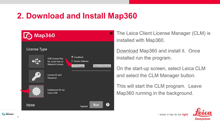### **2. Download and Install Map360**



The Leica Client License Manager (CLM) is installed with Map360.

[Download](http://help.leicaims.com/index.php?/Knowledgebase/Article/View/1/0/leica-geosystems-incident-mapping-suite-release-history#mps) Map360 and install it. Once installed run the program.

On the start-up screen, select Leica CLM and select the CLM Manager button.

This will start the CLM program. Leave Map360 running in the background.

- when it has to be right



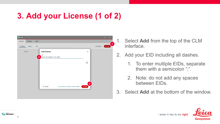# **3. Add your License (1 of 2)**



4

**A HEXAGON** 

- 1. Select **Add** from the top of the CLM interface.
- 2. Add your EID including all dashes.
	- 1. To enter multiple EIDs, separate them with a semicolon ";".
	- 2. Note: do not add any spaces between EIDs.
- 3. Select **Add** at the bottom of the window.



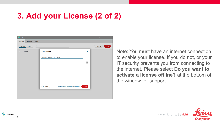# **3. Add your License (2 of 2)**



Note: You must have an internet connection to enable your license. If you do not, or your IT security prevents you from connecting to the internet, Please select **Do you want to activate a license offline?** at the bottom of the window for support.





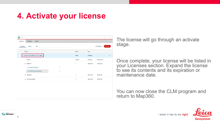## **4. Activate your license**

| CLM                                  |   |               |            | $\Box$<br>$\times$    |
|--------------------------------------|---|---------------|------------|-----------------------|
| <b>Settings</b><br>About<br>Licenses |   |               |            |                       |
| Q<br>Licenses<br>Usage               |   |               |            | $+$ Borrow<br>$+$ Add |
| License                              |   | <b>Status</b> | Type       |                       |
| $\vee$ 00107-79315-00032-11191-15852 |   | Valid         | Floating   | $\sim$                |
| Product                              |   | Quantity      | Expiration | Maintenance           |
| ~5308173                             |   | $\mathbf{1}$  | 03/31/22   | 03/31/22              |
| TLS_MAP360.Sketch                    | 1 |               |            |                       |
| TLS_MAP360_Maint.Sketch              | 1 |               |            |                       |
| > 5310939                            |   | $\mathbf{1}$  | 03/31/22   | 03/31/22              |
| > TLS_ServiceInfo                    |   | $\mathbf{1}$  | 03/31/22   | 03/31/22              |
|                                      |   |               |            |                       |
|                                      |   |               |            |                       |
|                                      |   |               |            |                       |
|                                      |   |               |            |                       |
|                                      |   |               |            |                       |

The license will go through an activate stage.

Once complete, your license will be listed in your Licenses section. Expand the license to see its contents and its expiration or maintenance date.

You can now close the CLM program and return to Map360.



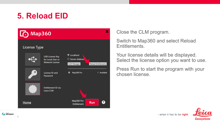## **5. Reload EID**



Close the CLM program.

Switch to Map360 and select Reload Entitlements.

Your license details will be displayed. Select the license option you want to use.

Press Run to start the program with your chosen license.

- when it has to be right



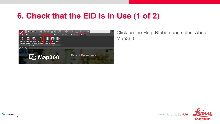### **6. Check that the EID is in Use (1 of 2)**



8

**THEXAGON** 

Click on the Help Ribbon and select About Map360.